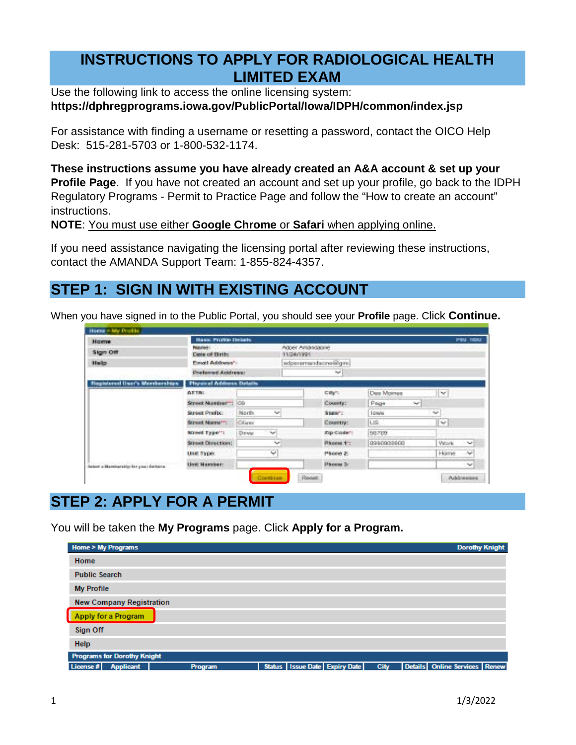#### **INSTRUCTIONS TO APPLY FOR RADIOLOGICAL HEALTH LIMITED EXAM**

Use the following link to access the online licensing system: **<https://dphregprograms.iowa.gov/PublicPortal/Iowa/IDPH/common/index.jsp>**

For assistance with finding a username or resetting a password, contact the OICO Help Desk: 515-281-5703 or 1-800-532-1174.

**These instructions assume you have already created an A&A account & set up your Profile Page**. If you have not created an account and set up your profile, go back to the IDPH Regulatory Programs - Permit to Practice Page and follow the "How to create an account" instructions.

**NOTE**: You must use either **Google Chrome** or **Safari** when applying online.

If you need assistance navigating the licensing portal after reviewing these instructions, contact the AMANDA Support Team: 1-855-824-4357.

# **STEP 1: SIGN IN WITH EXISTING ACCOUNT**

When you have signed in to the Public Portal, you should see your **Profile** page. Click **Continue.**

| <b>Horre</b>                          | Hasan Progress Details                  |                                     |                                |              |               | PIN ISSUE                  |
|---------------------------------------|-----------------------------------------|-------------------------------------|--------------------------------|--------------|---------------|----------------------------|
| Stan Off                              | Passion 1<br>Dote of Birth:             |                                     | Accer Antoncione<br>11/24/1991 |              |               | <b>STATISTICS</b>          |
| Made.                                 | Email Additional":                      |                                     | extoeremendecrypticans         |              |               |                            |
|                                       | <b>Deathermal Address:</b>              |                                     |                                | <b>Sept.</b> |               |                            |
| intered User's Memberships            | <b><i>Discussed Address Detains</i></b> |                                     |                                |              |               |                            |
|                                       | <b>ALCOHOL</b>                          |                                     |                                | に助け、         | Date Mointee  | $\mathcal{M}$              |
|                                       | Street Number 11                        | los                                 |                                | County:      | Prices<br>OW. |                            |
|                                       | Street Profix.                          | North<br><b>Buch</b>                |                                | Superior     | <b>Lower</b>  | <b>Sec.</b>                |
|                                       | Street Marriett                         | Client.                             |                                | Country:     | US.           | $\mathcal{C}_{\text{eff}}$ |
|                                       | November 21 p.p.m." 1                   | <b>CONTRACTOR</b><br>Dewe-<br>Post. |                                | Zap Coste 1  | 56759         |                            |
|                                       | Street Direction:                       | $\mathcal{M}$                       |                                | Phone 11:    | 8990908608    | Website:<br>$\sim$         |
|                                       | <b>UBILTYPE</b>                         | <b>COMPANY</b><br>No.               |                                | Phone 2.     |               | Home<br>bet.               |
| halout a Manutaratio for your Automo- | Until Namber:                           |                                     |                                | Dhoese 3:    |               | 1740                       |

# **STEP 2: APPLY FOR A PERMIT**

You will be taken the **My Programs** page. Click **Apply for a Program.**

| <b>Home &gt; My Programs</b>       |                |  |                               |             | <b>Dorothy Knight</b>         |  |
|------------------------------------|----------------|--|-------------------------------|-------------|-------------------------------|--|
| Home                               |                |  |                               |             |                               |  |
| <b>Public Search</b>               |                |  |                               |             |                               |  |
| <b>My Profile</b>                  |                |  |                               |             |                               |  |
| <b>New Company Registration</b>    |                |  |                               |             |                               |  |
| <b>Apply for a Program</b>         |                |  |                               |             |                               |  |
| Sign Off                           |                |  |                               |             |                               |  |
| Help                               |                |  |                               |             |                               |  |
| <b>Programs for Dorothy Knight</b> |                |  |                               |             |                               |  |
| License #<br><b>Applicant</b>      | <b>Program</b> |  | Status Issue Date Expiry Date | <b>City</b> | Details Online Services Renew |  |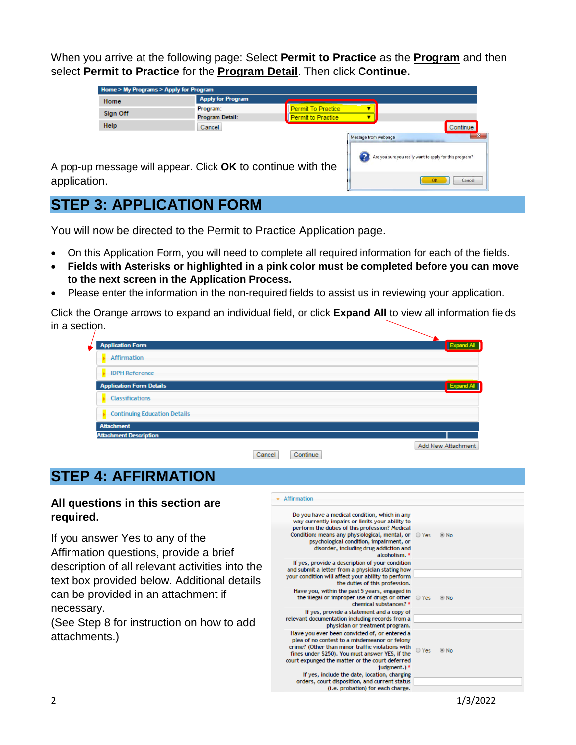When you arrive at the following page: Select **Permit to Practice** as the **Program** and then select **Permit to Practice** for the **Program Detail**. Then click **Continue.**

|              | Home > My Programs > Apply for Program                      |                          |                    |                      |                                                                                                                  |
|--------------|-------------------------------------------------------------|--------------------------|--------------------|----------------------|------------------------------------------------------------------------------------------------------------------|
|              | Home                                                        | <b>Apply for Program</b> |                    |                      |                                                                                                                  |
|              |                                                             | Program:                 | Permit To Practice |                      |                                                                                                                  |
|              | Sign Off                                                    | Program Detail:          | Permit to Practice |                      |                                                                                                                  |
|              | Help                                                        | Cancel                   |                    |                      | Continue                                                                                                         |
|              | A pop-up message will appear. Click OK to continue with the |                          |                    | Message from webpage | 25<br>the Committee of the Committee of the Committee<br>Are you sure you really want to apply for this program? |
| application. |                                                             |                          |                    |                      | Cancel                                                                                                           |

## **STEP 3: APPLICATION FORM**

You will now be directed to the Permit to Practice Application page.

- On this Application Form, you will need to complete all required information for each of the fields.
- **Fields with Asterisks or highlighted in a pink color must be completed before you can move to the next screen in the Application Process.**
- Please enter the information in the non-required fields to assist us in reviewing your application.

Click the Orange arrows to expand an individual field, or click **Expand All** to view all information fields in a section.

| <b>Application Form</b>             |                    | Expand All         |
|-------------------------------------|--------------------|--------------------|
| <b>Affirmation</b>                  |                    |                    |
| <b>IDPH Reference</b>               |                    |                    |
| <b>Application Form Details</b>     |                    | <b>Expansion</b>   |
| <b>Classifications</b>              |                    |                    |
| <b>Continuing Education Details</b> |                    |                    |
| <b>Attachment</b>                   |                    |                    |
| <b>Attachment Description</b>       |                    |                    |
|                                     | Continue<br>Cancel | Add New Attachment |

# **STEP 4: AFFIRMATION**

#### **All questions in this section are required.**

If you answer Yes to any of the Affirmation questions, provide a brief description of all relevant activities into the text box provided below. Additional details can be provided in an attachment if necessary.

(See Step 8 for instruction on how to add attachments.)

| Affirmation                                                                                                                                                                                                                                                                                                |       |                   |
|------------------------------------------------------------------------------------------------------------------------------------------------------------------------------------------------------------------------------------------------------------------------------------------------------------|-------|-------------------|
| Do you have a medical condition, which in any<br>way currently impairs or limits your ability to<br>perform the duties of this profession? Medical<br>Condition: means any physiological, mental, or<br>psychological condition, impairment, or<br>disorder, including drug addiction and<br>alcoholism. * | O Yes | $\circledcirc$ No |
| If yes, provide a description of your condition<br>and submit a letter from a physician stating how<br>your condition will affect your ability to perform<br>the duties of this profession.                                                                                                                |       |                   |
| Have you, within the past 5 years, engaged in<br>the illegal or improper use of drugs or other<br>chemical substances? *                                                                                                                                                                                   | O Yes | $@$ No            |
| If yes, provide a statement and a copy of<br>relevant documentation including records from a<br>physician or treatment program.                                                                                                                                                                            |       |                   |
| Have you ever been convicted of, or entered a<br>plea of no contest to a misdemeanor or felony<br>crime? (Other than minor traffic violations with<br>fines under \$250). You must answer YES, if the<br>court expunged the matter or the court deferred<br>iudement.) *                                   | ○ Yes | $\odot$ No        |
| If yes, include the date, location, charging<br>orders, court disposition, and current status<br>(i.e. probation) for each charge.                                                                                                                                                                         |       |                   |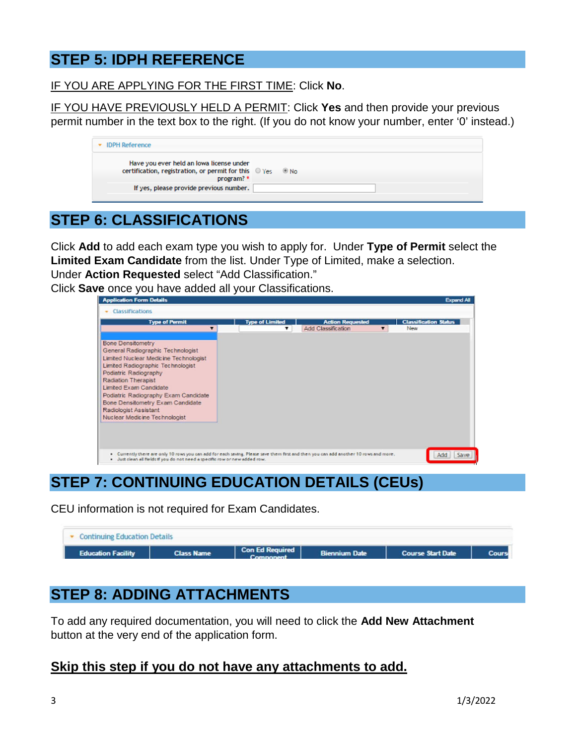#### **STEP 5: IDPH REFERENCE**

IF YOU ARE APPLYING FOR THE FIRST TIME: Click **No**.

IF YOU HAVE PREVIOUSLY HELD A PERMIT: Click **Yes** and then provide your previous permit number in the text box to the right. (If you do not know your number, enter '0' instead.)

| <b>IDPH Reference</b>                                                                                           |            |
|-----------------------------------------------------------------------------------------------------------------|------------|
| Have you ever held an lowa license under<br>certification, registration, or permit for this O Yes<br>program? * | $\circ$ No |
| If yes, please provide previous number.                                                                         |            |
|                                                                                                                 |            |

### **STEP 6: CLASSIFICATIONS**

Click **Add** to add each exam type you wish to apply for. Under **Type of Permit** select the **Limited Exam Candidate** from the list. Under Type of Limited, make a selection. Under **Action Requested** select "Add Classification."

Click **Save** once you have added all your Classifications.



# **STEP 7: CONTINUING EDUCATION DETAILS (CEUs)**

CEU information is not required for Exam Candidates.

| • Continuing Education Details |                   |                 |                      |                          |       |
|--------------------------------|-------------------|-----------------|----------------------|--------------------------|-------|
| <b>Education Facility</b>      | <b>Class Name</b> | Con Ed Required | <b>Biennium Date</b> | <b>Course Start Date</b> | Cours |

## **STEP 8: ADDING ATTACHMENTS**

To add any required documentation, you will need to click the **Add New Attachment**  button at the very end of the application form.

#### **Skip this step if you do not have any attachments to add.**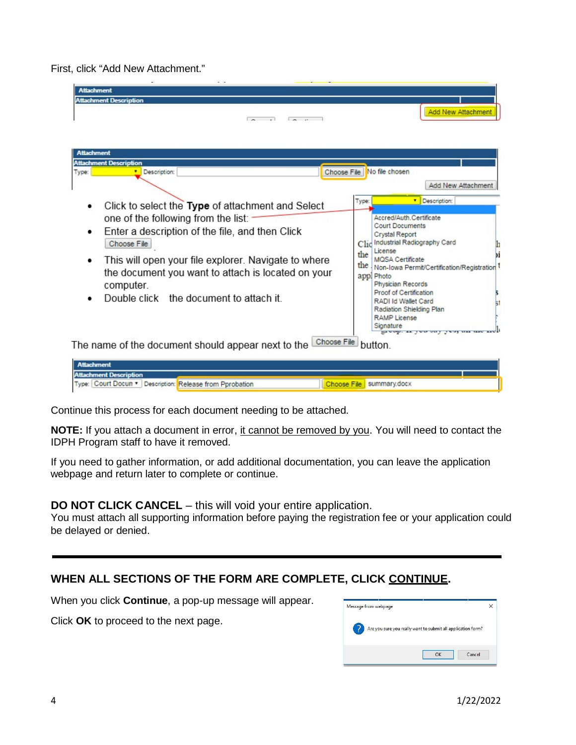First, click "Add New Attachment."

| <b>Attachment</b><br><b>Attachment Description</b><br><b>Committee Committee</b><br>$\sim$ $\sim$                                                                                                                                                                                                                                | <b>Add New Attachment</b>                                                                                                                                                                                                                                                                                                                                                                                       |
|----------------------------------------------------------------------------------------------------------------------------------------------------------------------------------------------------------------------------------------------------------------------------------------------------------------------------------|-----------------------------------------------------------------------------------------------------------------------------------------------------------------------------------------------------------------------------------------------------------------------------------------------------------------------------------------------------------------------------------------------------------------|
| <b>Attachment</b><br><b>Attachment Description</b><br>Description:<br>Type:<br>٠                                                                                                                                                                                                                                                 | Choose File   No file chosen<br>Add New Attachment<br>Description:<br>Type:                                                                                                                                                                                                                                                                                                                                     |
| Click to select the Type of attachment and Select<br>one of the following from the list:<br>Enter a description of the file, and then Click<br>Choose File<br>This will open your file explorer. Navigate to where<br>the document you want to attach is located on your<br>computer.<br>Double click the document to attach it. | Accred/Auth.Certificate<br><b>Court Documents</b><br>Crystal Report<br>Industrial Radiography Card<br>Cl <sub>10</sub><br>License<br>the<br><b>MOSA</b> Certificate<br>the<br>Non-Iowa Permit/Certification/Registration<br>appl Photo<br>Physician Records<br>Proof of Certification<br>RADI Id Wallet Card<br>Radiation Shielding Plan<br><b>RAMP License</b><br>Signature<br>Exempt as your oury your was us |
| Choose File<br>The name of the document should appear next to the                                                                                                                                                                                                                                                                | button.                                                                                                                                                                                                                                                                                                                                                                                                         |

| Attachment                                               |  |                          |
|----------------------------------------------------------|--|--------------------------|
| <b>Attachment Description</b>                            |  |                          |
| Type: Court Docun " Description: Release from Pprobation |  | Choose File Summary.docx |

Continue this process for each document needing to be attached.

**NOTE:** If you attach a document in error, it cannot be removed by you. You will need to contact the IDPH Program staff to have it removed.

If you need to gather information, or add additional documentation, you can leave the application webpage and return later to complete or continue.

#### **DO NOT CLICK CANCEL** – this will void your entire application.

You must attach all supporting information before paying the registration fee or your application could be delayed or denied.

#### **WHEN ALL SECTIONS OF THE FORM ARE COMPLETE, CLICK CONTINUE.**

When you click **Continue**, a pop-up message will appear.

Click **OK** to proceed to the next page.

| Message from webpage |                                                              |
|----------------------|--------------------------------------------------------------|
|                      | Are you sure you really want to submit all application form? |
|                      |                                                              |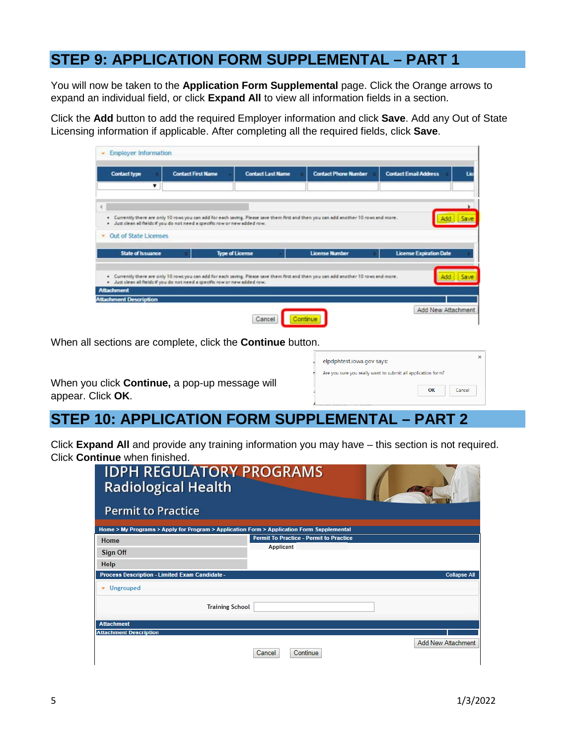#### **STEP 9: APPLICATION FORM SUPPLEMENTAL – PART 1**

You will now be taken to the **Application Form Supplemental** page. Click the Orange arrows to expand an individual field, or click **Expand All** to view all information fields in a section.

Click the **Add** button to add the required Employer information and click **Save**. Add any Out of State Licensing information if applicable. After completing all the required fields, click **Save**.

| <b>Contact type</b>      |                         | <b>Contact First Name</b>                                                   | <b>Contact Last Name</b> | <b>Contact Phone Number</b>                                                                                                           | <b>Contact Email Address</b>   | Lic |
|--------------------------|-------------------------|-----------------------------------------------------------------------------|--------------------------|---------------------------------------------------------------------------------------------------------------------------------------|--------------------------------|-----|
|                          | $\overline{\mathbf{v}}$ |                                                                             |                          |                                                                                                                                       |                                |     |
|                          |                         |                                                                             |                          |                                                                                                                                       |                                |     |
|                          |                         |                                                                             |                          |                                                                                                                                       |                                |     |
|                          |                         | · Just clean all fields if you do not need a specific row or new added row. |                          | . Currently there are only 10 rows you can add for each saving. Please save them first and then you can add another 10 rows and more. |                                |     |
| • Out of State Licenses  |                         |                                                                             |                          |                                                                                                                                       |                                |     |
|                          |                         |                                                                             |                          |                                                                                                                                       |                                |     |
| <b>State of Issuance</b> |                         |                                                                             | <b>Type of License</b>   | <b>License Number</b>                                                                                                                 | <b>License Expiration Date</b> |     |
|                          |                         |                                                                             |                          |                                                                                                                                       |                                |     |
|                          |                         |                                                                             |                          | . Currently there are only 10 rows you can add for each saving. Please save them first and then you can add another 10 rows and more. |                                |     |
|                          |                         | · Just clean all fields if you do not need a specific row or new added row. |                          |                                                                                                                                       |                                |     |
|                          |                         |                                                                             |                          |                                                                                                                                       |                                |     |
| <b>Attachment</b>        |                         |                                                                             |                          |                                                                                                                                       |                                |     |

elodohtest.jowa.gov.says:

Are you sure you really want to submit all application form?

OK

Cancel

When all sections are complete, click the **Continue** button.

| When you click Continue, a pop-up message will |  |
|------------------------------------------------|--|
| appear. Click OK.                              |  |

## **STEP 10: APPLICATION FORM SUPPLEMENTAL – PART 2**

Click **Expand All** and provide any training information you may have – this section is not required. Click **Continue** when finished.

| <b>IDPH REGULATORY PROGRAMS</b><br><b>Radiological Health</b><br><b>Permit to Practice</b> |                                                |                           |
|--------------------------------------------------------------------------------------------|------------------------------------------------|---------------------------|
| Home > My Programs > Apply for Program > Application Form > Application Form Supplemental  |                                                |                           |
| Home                                                                                       | <b>Permit To Practice - Permit to Practice</b> |                           |
| <b>Sign Off</b>                                                                            | <b>Applicant</b>                               |                           |
| <b>Help</b>                                                                                |                                                |                           |
| <b>Process Description - Limited Exam Candidate -</b>                                      |                                                | <b>Collapse All</b>       |
| • Ungrouped                                                                                |                                                |                           |
| <b>Training School</b>                                                                     |                                                |                           |
| <b>Attachment</b>                                                                          |                                                |                           |
| <b>Attachment Description</b>                                                              |                                                |                           |
|                                                                                            | Continue<br>Cancel                             | <b>Add New Attachment</b> |

 $\mathbf{x}$